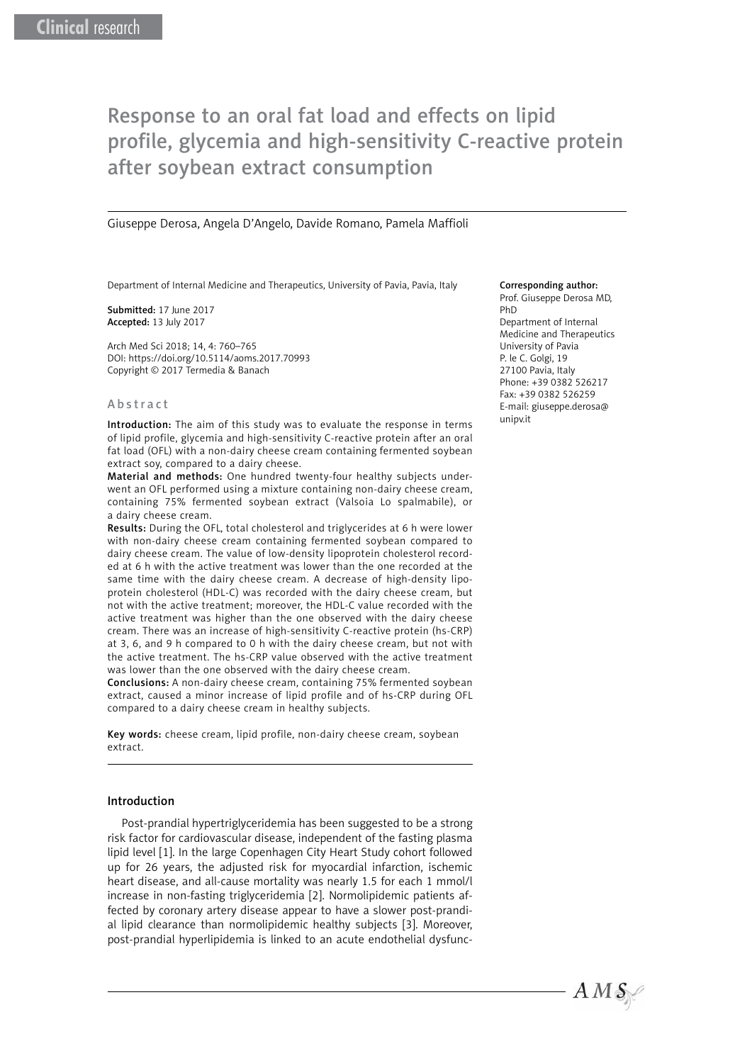# Response to an oral fat load and effects on lipid profile, glycemia and high-sensitivity C-reactive protein after soybean extract consumption

Giuseppe Derosa, Angela D'Angelo, Davide Romano, Pamela Maffioli

Department of Internal Medicine and Therapeutics, University of Pavia, Pavia, Italy

Submitted: 17 June 2017 Accepted: 13 July 2017

Arch Med Sci 2018; 14, 4: 760–765 DOI: https://doi.org/10.5114/aoms.2017.70993 Copyright © 2017 Termedia & Banach

#### Abstract

Introduction: The aim of this study was to evaluate the response in terms of lipid profile, glycemia and high-sensitivity C-reactive protein after an oral fat load (OFL) with a non-dairy cheese cream containing fermented soybean extract soy, compared to a dairy cheese.

Material and methods: One hundred twenty-four healthy subjects underwent an OFL performed using a mixture containing non-dairy cheese cream, containing 75% fermented soybean extract (Valsoia Lo spalmabile), or a dairy cheese cream.

Results: During the OFL, total cholesterol and triglycerides at 6 h were lower with non-dairy cheese cream containing fermented soybean compared to dairy cheese cream. The value of low-density lipoprotein cholesterol recorded at 6 h with the active treatment was lower than the one recorded at the same time with the dairy cheese cream. A decrease of high-density lipoprotein cholesterol (HDL-C) was recorded with the dairy cheese cream, but not with the active treatment; moreover, the HDL-C value recorded with the active treatment was higher than the one observed with the dairy cheese cream. There was an increase of high-sensitivity C-reactive protein (hs-CRP) at 3, 6, and 9 h compared to 0 h with the dairy cheese cream, but not with the active treatment. The hs-CRP value observed with the active treatment was lower than the one observed with the dairy cheese cream.

Conclusions: A non-dairy cheese cream, containing 75% fermented soybean extract, caused a minor increase of lipid profile and of hs-CRP during OFL compared to a dairy cheese cream in healthy subjects.

Key words: cheese cream, lipid profile, non-dairy cheese cream, soybean extract.

### Introduction

Post-prandial hypertriglyceridemia has been suggested to be a strong risk factor for cardiovascular disease, independent of the fasting plasma lipid level [1]. In the large Copenhagen City Heart Study cohort followed up for 26 years, the adjusted risk for myocardial infarction, ischemic heart disease, and all-cause mortality was nearly 1.5 for each 1 mmol/l increase in non-fasting triglyceridemia [2]. Normolipidemic patients affected by coronary artery disease appear to have a slower post-prandial lipid clearance than normolipidemic healthy subjects [3]. Moreover, post-prandial hyperlipidemia is linked to an acute endothelial dysfunc-

#### Corresponding author:

Prof. Giuseppe Derosa MD, PhD Department of Internal Medicine and Therapeutics University of Pavia P. le C. Golgi, 19 27100 Pavia, Italy Phone: +39 0382 526217 Fax: +39 0382 526259 E-mail: [giuseppe.derosa@](mailto:giuseppe.derosa@unipv.it) [unipv.it](mailto:giuseppe.derosa@unipv.it)

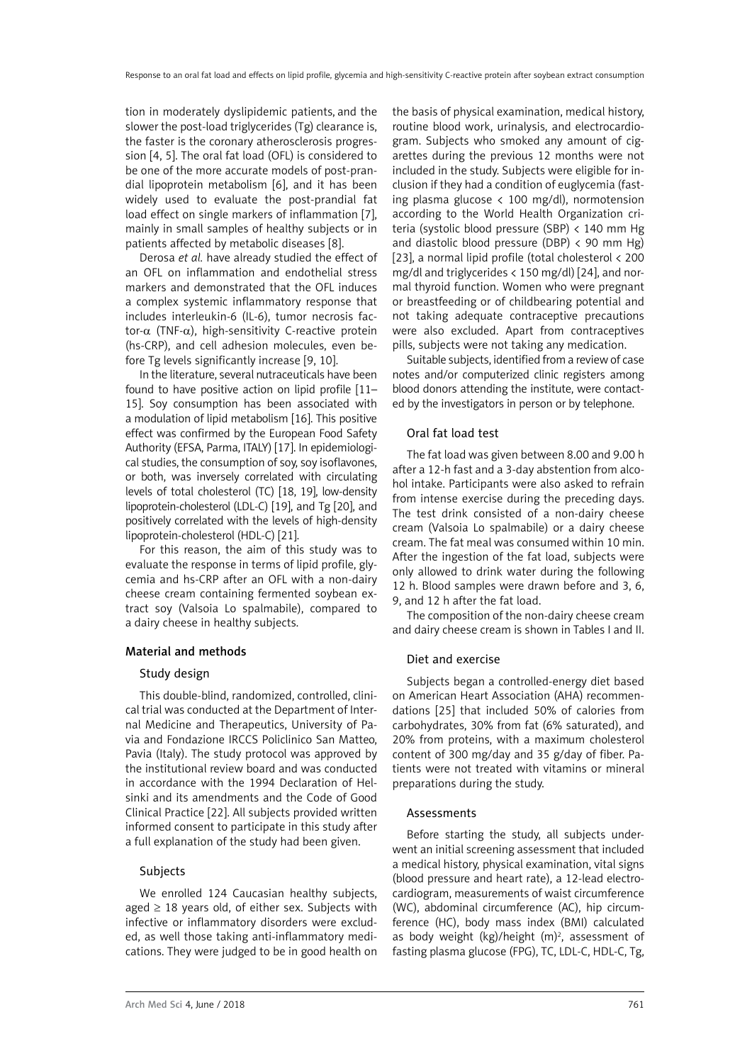tion in moderately dyslipidemic patients, and the slower the post-load triglycerides (Tg) clearance is, the faster is the coronary atherosclerosis progression [4, 5]. The oral fat load (OFL) is considered to be one of the more accurate models of post-prandial lipoprotein metabolism [6], and it has been widely used to evaluate the post-prandial fat load effect on single markers of inflammation [7], mainly in small samples of healthy subjects or in patients affected by metabolic diseases [8].

Derosa *et al.* have already studied the effect of an OFL on inflammation and endothelial stress markers and demonstrated that the OFL induces a complex systemic inflammatory response that includes interleukin-6 (IL-6), tumor necrosis factor-α (TNF-α), high-sensitivity C-reactive protein (hs-CRP), and cell adhesion molecules, even before Tg levels significantly increase [9, 10].

In the literature, several nutraceuticals have been found to have positive action on lipid profile [11– 15]. Soy consumption has been associated with a modulation of lipid metabolism [16]. This positive effect was confirmed by the European Food Safety Authority (EFSA, Parma, ITALY) [17]. In epidemiological studies, the consumption of soy, soy isoflavones, or both, was inversely correlated with circulating levels of total cholesterol (TC) [18, 19], low-density lipoprotein-cholesterol (LDL-C) [19], and Tg [20], and positively correlated with the levels of high-density lipoprotein-cholesterol (HDL-C) [21].

For this reason, the aim of this study was to evaluate the response in terms of lipid profile, glycemia and hs-CRP after an OFL with a non-dairy cheese cream containing fermented soybean extract soy (Valsoia Lo spalmabile), compared to a dairy cheese in healthy subjects.

## Material and methods

## Study design

This double-blind, randomized, controlled, clinical trial was conducted at the Department of Internal Medicine and Therapeutics, University of Pavia and Fondazione IRCCS Policlinico San Matteo, Pavia (Italy). The study protocol was approved by the institutional review board and was conducted in accordance with the 1994 Declaration of Helsinki and its amendments and the Code of Good Clinical Practice [22]. All subjects provided written informed consent to participate in this study after a full explanation of the study had been given.

# Subjects

We enrolled 124 Caucasian healthy subjects, aged  $\geq$  18 years old, of either sex. Subjects with infective or inflammatory disorders were excluded, as well those taking anti-inflammatory medications. They were judged to be in good health on the basis of physical examination, medical history, routine blood work, urinalysis, and electrocardiogram. Subjects who smoked any amount of cigarettes during the previous 12 months were not included in the study. Subjects were eligible for inclusion if they had a condition of euglycemia (fasting plasma glucose < 100 mg/dl), normotension according to the World Health Organization criteria (systolic blood pressure (SBP) < 140 mm Hg and diastolic blood pressure (DBP)  $\langle$  90 mm Hg) [23], a normal lipid profile (total cholesterol < 200 mg/dl and triglycerides  $\langle 150 \text{ mg/dl} \rangle$  [24], and normal thyroid function. Women who were pregnant or breastfeeding or of childbearing potential and not taking adequate contraceptive precautions were also excluded. Apart from contraceptives pills, subjects were not taking any medication.

Suitable subjects, identified from a review of case notes and/or computerized clinic registers among blood donors attending the institute, were contacted by the investigators in person or by telephone.

# Oral fat load test

The fat load was given between 8.00 and 9.00 h after a 12-h fast and a 3-day abstention from alcohol intake. Participants were also asked to refrain from intense exercise during the preceding days. The test drink consisted of a non-dairy cheese cream (Valsoia Lo spalmabile) or a dairy cheese cream. The fat meal was consumed within 10 min. After the ingestion of the fat load, subjects were only allowed to drink water during the following 12 h. Blood samples were drawn before and 3, 6, 9, and 12 h after the fat load.

The composition of the non-dairy cheese cream and dairy cheese cream is shown in Tables I and II.

## Diet and exercise

Subjects began a controlled-energy diet based on American Heart Association (AHA) recommendations [25] that included 50% of calories from carbohydrates, 30% from fat (6% saturated), and 20% from proteins, with a maximum cholesterol content of 300 mg/day and 35 g/day of fiber. Patients were not treated with vitamins or mineral preparations during the study.

## Assessments

Before starting the study, all subjects underwent an initial screening assessment that included a medical history, physical examination, vital signs (blood pressure and heart rate), a 12-lead electrocardiogram, measurements of waist circumference (WC), abdominal circumference (AC), hip circumference (HC), body mass index (BMI) calculated as body weight  $(kg)/$ height  $(m)^2$ , assessment of fasting plasma glucose (FPG), TC, LDL-C, HDL-C, Tg,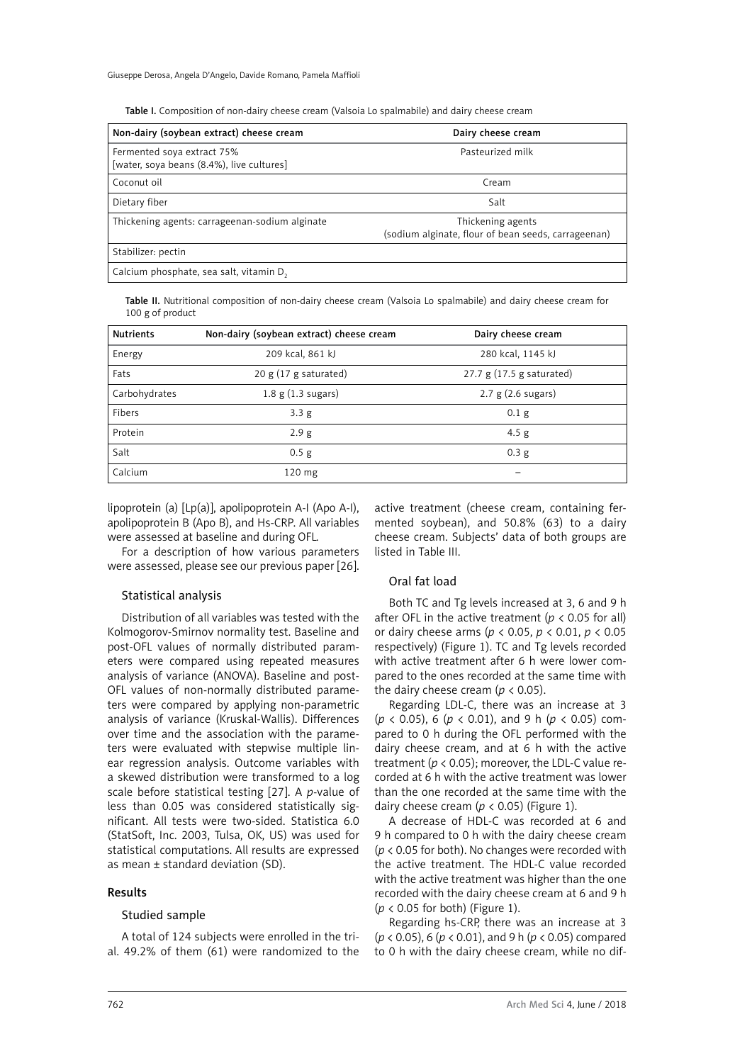Table I. Composition of non-dairy cheese cream (Valsoia Lo spalmabile) and dairy cheese cream

| Non-dairy (soybean extract) cheese cream                                | Dairy cheese cream                                                       |
|-------------------------------------------------------------------------|--------------------------------------------------------------------------|
| Fermented soya extract 75%<br>[water, soya beans (8.4%), live cultures] | Pasteurized milk                                                         |
| Coconut oil                                                             | Cream                                                                    |
| Dietary fiber                                                           | Salt                                                                     |
| Thickening agents: carrageenan-sodium alginate                          | Thickening agents<br>(sodium alginate, flour of bean seeds, carrageenan) |
| Stabilizer: pectin                                                      |                                                                          |
| Calcium phosphate, sea salt, vitamin D,                                 |                                                                          |

Table II. Nutritional composition of non-dairy cheese cream (Valsoia Lo spalmabile) and dairy cheese cream for 100 g of product

| <b>Nutrients</b> | Non-dairy (soybean extract) cheese cream | Dairy cheese cream            |
|------------------|------------------------------------------|-------------------------------|
| Energy           | 209 kcal, 861 kJ                         | 280 kcal, 1145 kJ             |
| Fats             | $20 g (17 g$ saturated)                  | 27.7 $g(17.5 g_s)$ saturated) |
| Carbohydrates    | $1.8 \text{ g} (1.3 \text{ sugars})$     | $2.7 g$ (2.6 sugars)          |
| Fibers           | 3.3 <sub>g</sub>                         | 0.1 <sub>g</sub>              |
| Protein          | 2.9g                                     | 4.5 <sub>g</sub>              |
| Salt             | $0.5$ g                                  | 0.3 <sub>g</sub>              |
| Calcium          | $120 \text{ mg}$                         |                               |

lipoprotein (a) [Lp(a)], apolipoprotein A-I (Apo A-I), apolipoprotein B (Apo B), and Hs-CRP. All variables were assessed at baseline and during OFL.

For a description of how various parameters were assessed, please see our previous paper [26].

### Statistical analysis

Distribution of all variables was tested with the Kolmogorov-Smirnov normality test. Baseline and post-OFL values of normally distributed parameters were compared using repeated measures analysis of variance (ANOVA). Baseline and post-OFL values of non-normally distributed parameters were compared by applying non-parametric analysis of variance (Kruskal-Wallis). Differences over time and the association with the parameters were evaluated with stepwise multiple linear regression analysis. Outcome variables with a skewed distribution were transformed to a log scale before statistical testing [27]. A *p*-value of less than 0.05 was considered statistically significant. All tests were two-sided. Statistica 6.0 (StatSoft, Inc. 2003, Tulsa, OK, US) was used for statistical computations. All results are expressed as mean ± standard deviation (SD).

#### Results

#### Studied sample

A total of 124 subjects were enrolled in the trial. 49.2% of them (61) were randomized to the active treatment (cheese cream, containing fermented soybean), and 50.8% (63) to a dairy cheese cream. Subjects' data of both groups are listed in Table III.

### Oral fat load

Both TC and Tg levels increased at 3, 6 and 9 h after OFL in the active treatment ( $p < 0.05$  for all) or dairy cheese arms (*p* < 0.05, *p* < 0.01, *p* < 0.05 respectively) (Figure 1). TC and Tg levels recorded with active treatment after 6 h were lower compared to the ones recorded at the same time with the dairy cheese cream ( $p < 0.05$ ).

Regarding LDL-C, there was an increase at 3 (*p* < 0.05), 6 (*p* < 0.01), and 9 h (*p* < 0.05) compared to 0 h during the OFL performed with the dairy cheese cream, and at 6 h with the active treatment ( $p < 0.05$ ); moreover, the LDL-C value recorded at 6 h with the active treatment was lower than the one recorded at the same time with the dairy cheese cream ( $p < 0.05$ ) (Figure 1).

A decrease of HDL-C was recorded at 6 and 9 h compared to 0 h with the dairy cheese cream (*p* < 0.05 for both). No changes were recorded with the active treatment. The HDL-C value recorded with the active treatment was higher than the one recorded with the dairy cheese cream at 6 and 9 h (*p* < 0.05 for both) (Figure 1).

Regarding hs-CRP, there was an increase at 3 (*p* < 0.05), 6 (*p* < 0.01), and 9 h (*p* < 0.05) compared to 0 h with the dairy cheese cream, while no dif-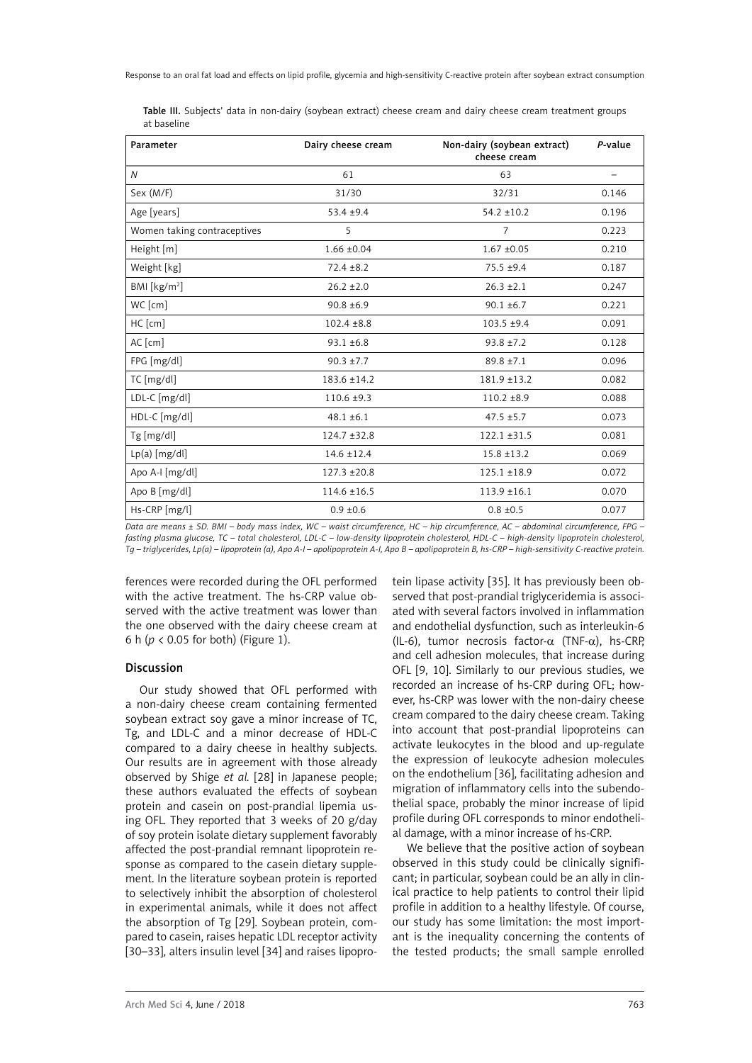| Parameter                   | Dairy cheese cream | Non-dairy (soybean extract)<br>cheese cream | P-value |
|-----------------------------|--------------------|---------------------------------------------|---------|
| $\overline{N}$              | 61                 | 63                                          |         |
| Sex (M/F)                   | 31/30              | 32/31                                       | 0.146   |
| Age [years]                 | $53.4 + 9.4$       | $54.2 \pm 10.2$                             | 0.196   |
| Women taking contraceptives | 5                  | 7                                           | 0.223   |
| Height [m]                  | $1.66 \pm 0.04$    | $1.67 + 0.05$                               | 0.210   |
| Weight [kg]                 | $72.4 \pm 8.2$     | $75.5 + 9.4$                                | 0.187   |
| BM [kg/m <sup>2</sup> ]     | $26.2 \pm 2.0$     | $26.3 \pm 2.1$                              | 0.247   |
| WC [cm]                     | $90.8 \pm 6.9$     | $90.1 \pm 6.7$                              | 0.221   |
| HC [cm]                     | $102.4 \pm 8.8$    | $103.5 + 9.4$                               | 0.091   |
| AC [cm]                     | $93.1 \pm 6.8$     | $93.8 \pm 7.2$                              | 0.128   |
| FPG [mg/dl]                 | $90.3 \pm 7.7$     | $89.8 \pm 7.1$                              | 0.096   |
| TC [mg/dl]                  | 183.6 ±14.2        | $181.9 \pm 13.2$                            | 0.082   |
| LDL-C [mg/dl]               | $110.6 \pm 9.3$    | $110.2 \pm 8.9$                             | 0.088   |
| HDL-C [mg/dl]               | $48.1 \pm 6.1$     | $47.5 \pm 5.7$                              | 0.073   |
| $Tg$ [mg/dl]                | $124.7 \pm 32.8$   | $122.1 \pm 31.5$                            | 0.081   |
| $Lp(a)$ [mg/dl]             | $14.6 \pm 12.4$    | $15.8 \pm 13.2$                             | 0.069   |
| Apo A-I [mg/dl]             | $127.3 \pm 20.8$   | $125.1 \pm 18.9$                            | 0.072   |
| Apo B [mg/dl]               | $114.6 \pm 16.5$   | $113.9 \pm 16.1$                            | 0.070   |

Table III. Subjects' data in non-dairy (soybean extract) cheese cream and dairy cheese cream treatment groups at baseline

*Data are means ± SD. BMI – body mass index, WC – waist circumference, HC – hip circumference, AC – abdominal circumference, FPG – fasting plasma glucose, TC – total cholesterol, LDL-C – low-density lipoprotein cholesterol, HDL-C – high-density lipoprotein cholesterol, Tg – triglycerides, Lp(a) – lipoprotein (a), Apo A-I – apolipoprotein A-I, Apo B – apolipoprotein B, hs-CRP – high-sensitivity C-reactive protein.* 

Hs-CRP [mg/l] 0.9 ±0.6 0.8 ±0.5 0.077

ferences were recorded during the OFL performed with the active treatment. The hs-CRP value observed with the active treatment was lower than the one observed with the dairy cheese cream at 6 h (*p* < 0.05 for both) (Figure 1).

### Discussion

Our study showed that OFL performed with a non-dairy cheese cream containing fermented soybean extract soy gave a minor increase of TC, Tg, and LDL-C and a minor decrease of HDL-C compared to a dairy cheese in healthy subjects. Our results are in agreement with those already observed by Shige *et al.* [28] in Japanese people; these authors evaluated the effects of soybean protein and casein on post-prandial lipemia using OFL. They reported that 3 weeks of 20 g/day of soy protein isolate dietary supplement favorably affected the post-prandial remnant lipoprotein response as compared to the casein dietary supplement. In the literature soybean protein is reported to selectively inhibit the absorption of cholesterol in experimental animals, while it does not affect the absorption of Tg [29]. Soybean protein, compared to casein, raises hepatic LDL receptor activity [30–33], alters insulin level [34] and raises lipoprotein lipase activity [35]. It has previously been observed that post-prandial triglyceridemia is associated with several factors involved in inflammation and endothelial dysfunction, such as interleukin-6 (IL-6), tumor necrosis factor- $\alpha$  (TNF- $\alpha$ ), hs-CRP, and cell adhesion molecules, that increase during OFL [9, 10]. Similarly to our previous studies, we recorded an increase of hs-CRP during OFL; however, hs-CRP was lower with the non-dairy cheese cream compared to the dairy cheese cream. Taking into account that post-prandial lipoproteins can activate leukocytes in the blood and up-regulate the expression of leukocyte adhesion molecules on the endothelium [36], facilitating adhesion and migration of inflammatory cells into the subendothelial space, probably the minor increase of lipid profile during OFL corresponds to minor endothelial damage, with a minor increase of hs-CRP.

We believe that the positive action of soybean observed in this study could be clinically significant; in particular, soybean could be an ally in clinical practice to help patients to control their lipid profile in addition to a healthy lifestyle. Of course, our study has some limitation: the most important is the inequality concerning the contents of the tested products; the small sample enrolled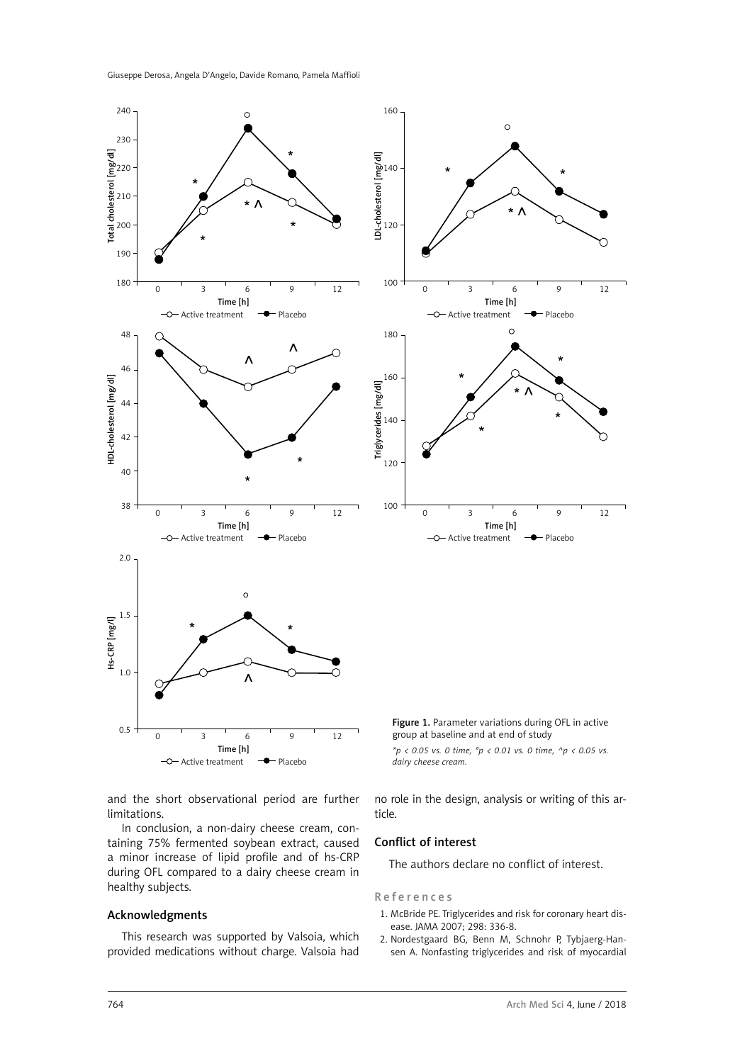Giuseppe Derosa, Angela D'Angelo, Davide Romano, Pamela Maffioli



and the short observational period are further limitations.

In conclusion, a non-dairy cheese cream, containing 75% fermented soybean extract, caused a minor increase of lipid profile and of hs-CRP during OFL compared to a dairy cheese cream in healthy subjects.

## Acknowledgments

This research was supported by Valsoia, which provided medications without charge. Valsoia had no role in the design, analysis or writing of this article.

# Conflict of interest

The authors declare no conflict of interest.

#### References

- 1. McBride PE. Triglycerides and risk for coronary heart disease. JAMA 2007; 298: 336-8.
- 2. Nordestgaard BG, Benn M, Schnohr P, Tybjaerg-Hansen A. Nonfasting triglycerides and risk of myocardial